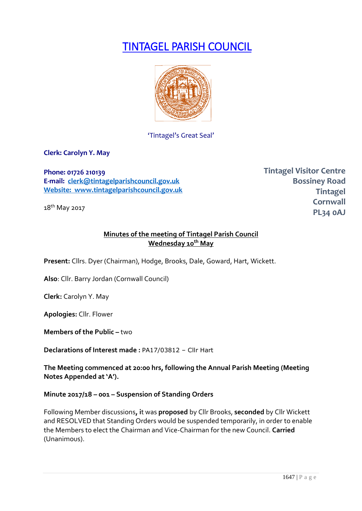# TINTAGEL PARISH COUNCIL



'Tintagel's Great Seal'

**Clerk: Carolyn Y. May**

**Phone: 01726 210139 E-mail: [clerk@tintagelparishcouncil.gov.uk](mailto:clerk@tintagelparishcouncil.gov.uk) Website: www.tintagelparishcouncil.gov.uk**

18<sup>th</sup> May 2017

**Tintagel Visitor Centre Bossiney Road Tintagel Cornwall PL34 0AJ**

# **Minutes of the meeting of Tintagel Parish Council Wednesday 10 th May**

**Present:** Cllrs. Dyer (Chairman), Hodge, Brooks, Dale, Goward, Hart, Wickett.

**Also**: Cllr. Barry Jordan (Cornwall Council)

**Clerk:** Carolyn Y. May

**Apologies:** Cllr. Flower

**Members of the Public – two** 

**Declarations of Interest made :** PA17/03812 – Cllr Hart

**The Meeting commenced at 20:00 hrs, following the Annual Parish Meeting (Meeting Notes Appended at 'A').**

**Minute 2017/18 – 001 – Suspension of Standing Orders**

Following Member discussions**, i**t was **proposed** by Cllr Brooks, **seconded** by Cllr Wickett and RESOLVED that Standing Orders would be suspended temporarily, in order to enable the Members to elect the Chairman and Vice-Chairman for the new Council. **Carried**  (Unanimous).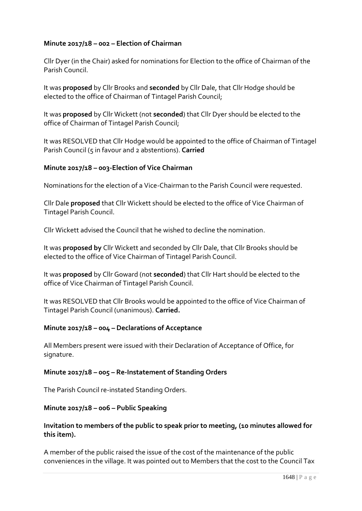# **Minute 2017/18 – 002 – Election of Chairman**

Cllr Dyer (in the Chair) asked for nominations for Election to the office of Chairman of the Parish Council.

It was **proposed** by Cllr Brooks and **seconded** by Cllr Dale, that Cllr Hodge should be elected to the office of Chairman of Tintagel Parish Council;

It was **proposed** by Cllr Wickett (not **seconded**) that Cllr Dyer should be elected to the office of Chairman of Tintagel Parish Council;

It was RESOLVED that Cllr Hodge would be appointed to the office of Chairman of Tintagel Parish Council (5 in favour and 2 abstentions). **Carried**

# **Minute 2017/18 – 003-Election of Vice Chairman**

Nominations for the election of a Vice-Chairman to the Parish Council were requested.

Cllr Dale **proposed** that Cllr Wickett should be elected to the office of Vice Chairman of Tintagel Parish Council.

Cllr Wickett advised the Council that he wished to decline the nomination.

It was **proposed by** Cllr Wickett and seconded by Cllr Dale, that Cllr Brooks should be elected to the office of Vice Chairman of Tintagel Parish Council.

It was **proposed** by Cllr Goward (not **seconded**) that Cllr Hart should be elected to the office of Vice Chairman of Tintagel Parish Council.

It was RESOLVED that Cllr Brooks would be appointed to the office of Vice Chairman of Tintagel Parish Council (unanimous). **Carried.**

## **Minute 2017/18 – 004 – Declarations of Acceptance**

All Members present were issued with their Declaration of Acceptance of Office, for signature.

## **Minute 2017/18 – 005 – Re-Instatement of Standing Orders**

The Parish Council re-instated Standing Orders.

## **Minute 2017/18 – 006 – Public Speaking**

## **Invitation to members of the public to speak prior to meeting, (10 minutes allowed for this item).**

A member of the public raised the issue of the cost of the maintenance of the public conveniences in the village. It was pointed out to Members that the cost to the Council Tax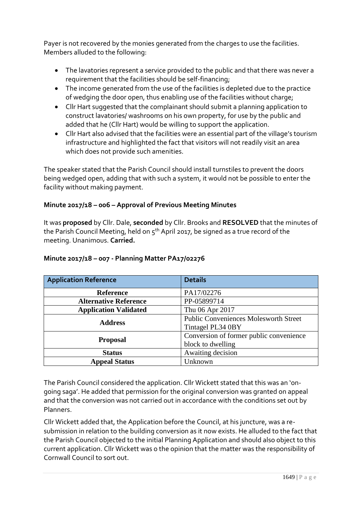Payer is not recovered by the monies generated from the charges to use the facilities. Members alluded to the following:

- The lavatories represent a service provided to the public and that there was never a requirement that the facilities should be self-financing;
- The income generated from the use of the facilities is depleted due to the practice of wedging the door open, thus enabling use of the facilities without charge;
- Cllr Hart suggested that the complainant should submit a planning application to construct lavatories/ washrooms on his own property, for use by the public and added that he (Cllr Hart) would be willing to support the application.
- Cllr Hart also advised that the facilities were an essential part of the village's tourism infrastructure and highlighted the fact that visitors will not readily visit an area which does not provide such amenities.

The speaker stated that the Parish Council should install turnstiles to prevent the doors being wedged open, adding that with such a system, it would not be possible to enter the facility without making payment.

# **Minute 2017/18 – 006 – Approval of Previous Meeting Minutes**

It was **proposed** by Cllr. Dale, **seconded** by Cllr. Brooks and **RESOLVED** that the minutes of the Parish Council Meeting, held on  $5<sup>th</sup>$  April 2017, be signed as a true record of the meeting. Unanimous. **Carried.**

| <b>Application Reference</b> | <b>Details</b>                                                    |  |
|------------------------------|-------------------------------------------------------------------|--|
| <b>Reference</b>             | PA17/02276                                                        |  |
| <b>Alternative Reference</b> | PP-05899714                                                       |  |
| <b>Application Validated</b> | Thu 06 Apr 2017                                                   |  |
| <b>Address</b>               | <b>Public Conveniences Molesworth Street</b><br>Tintagel PL34 0BY |  |
| <b>Proposal</b>              | Conversion of former public convenience<br>block to dwelling      |  |
| <b>Status</b>                | Awaiting decision                                                 |  |
| <b>Appeal Status</b>         | Unknown                                                           |  |

# **Minute 2017/18 – 007 - Planning Matter PA17/02276**

The Parish Council considered the application. Cllr Wickett stated that this was an 'ongoing saga'. He added that permission for the original conversion was granted on appeal and that the conversion was not carried out in accordance with the conditions set out by Planners.

Cllr Wickett added that, the Application before the Council, at his juncture, was a resubmission in relation to the building conversion as it now exists. He alluded to the fact that the Parish Council objected to the initial Planning Application and should also object to this current application. Cllr Wickett was o the opinion that the matter was the responsibility of Cornwall Council to sort out.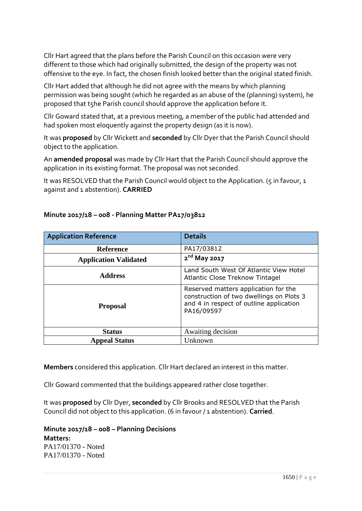Cllr Hart agreed that the plans before the Parish Council on this occasion were very different to those which had originally submitted, the design of the property was not offensive to the eye. In fact, the chosen finish looked better than the original stated finish.

Cllr Hart added that although he did not agree with the means by which planning permission was being sought (which he regarded as an abuse of the (planning) system), he proposed that t5he Parish council should approve the application before it.

Cllr Goward stated that, at a previous meeting, a member of the public had attended and had spoken most eloquently against the property design (as it is now).

It was **proposed** by Cllr Wickett and **seconded** by Cllr Dyer that the Parish Council should object to the application.

An **amended proposal** was made by Cllr Hart that the Parish Council should approve the application in its existing format. The proposal was not seconded.

It was RESOLVED that the Parish Council would object to the Application. (5 in favour, 1 against and 1 abstention). **CARRIED**

| <b>Application Reference</b> | <b>Details</b>                                                                                                                            |  |
|------------------------------|-------------------------------------------------------------------------------------------------------------------------------------------|--|
| <b>Reference</b>             | PA17/03812                                                                                                                                |  |
| <b>Application Validated</b> | $2nd$ May 2017                                                                                                                            |  |
| <b>Address</b>               | Land South West Of Atlantic View Hotel<br><b>Atlantic Close Treknow Tintagel</b>                                                          |  |
| <b>Proposal</b>              | Reserved matters application for the<br>construction of two dwellings on Plots 3<br>and 4 in respect of outline application<br>PA16/09597 |  |
| <b>Status</b>                | Awaiting decision                                                                                                                         |  |
| <b>Appeal Status</b>         | Unknown                                                                                                                                   |  |

# **Minute 2017/18 – 008 - Planning Matter PA17/03812**

**Members** considered this application. Cllr Hart declared an interest in this matter.

Cllr Goward commented that the buildings appeared rather close together.

It was **proposed** by Cllr Dyer, **seconded** by Cllr Brooks and RESOLVED that the Parish Council did not object to this application. (6 in favour / 1 abstention). **Carried**.

**Minute 2017/18 – 008 – Planning Decisions Matters:** PA17/01370 - Noted PA17/01370 - Noted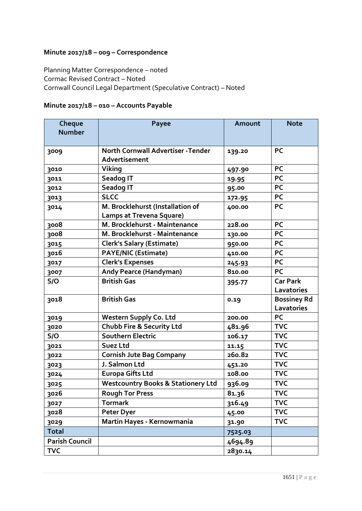# **Minute 2017/18 – 009 – Correspondence**

Planning Matter Correspondence – noted Cormac Revised Contract – Noted Cornwall Council Legal Department (Speculative Contract) – Noted

# **Minute 2017/18 – 010 – Accounts Payable**

| Cheque<br><b>Number</b> | <b>Payee</b>                                               | Amount  | <b>Note</b>        |
|-------------------------|------------------------------------------------------------|---------|--------------------|
|                         |                                                            |         |                    |
| 3009                    | <b>North Cornwall Advertiser - Tender</b><br>Advertisement | 139.20  | <b>PC</b>          |
| 3010                    | Viking                                                     | 497.90  | <b>PC</b>          |
| 3011                    | <b>Seadog IT</b>                                           | 19.95   | <b>PC</b>          |
| 3012                    | <b>Seadog IT</b>                                           | 95.00   | <b>PC</b>          |
| 3013                    | <b>SLCC</b>                                                | 172.95  | <b>PC</b>          |
| 3014                    | M. Brocklehurst (Installation of                           | 400.00  | <b>PC</b>          |
|                         | <b>Lamps at Trevena Square)</b>                            |         |                    |
| 3008                    | M. Brocklehurst - Maintenance                              | 228.00  | <b>PC</b>          |
| 3008                    | M. Brocklehurst - Maintenance                              | 130.00  | <b>PC</b>          |
| 3015                    | <b>Clerk's Salary (Estimate)</b>                           | 950.00  | <b>PC</b>          |
| 3016                    | <b>PAYE/NIC (Estimate)</b>                                 | 410.00  | <b>PC</b>          |
| 3017                    | <b>Clerk's Expenses</b>                                    | 245.93  | <b>PC</b>          |
| 3007                    | <b>Andy Pearce (Handyman)</b>                              | 810.00  | <b>PC</b>          |
| S/O                     | <b>British Gas</b>                                         | 395-77  | <b>Car Park</b>    |
|                         |                                                            |         | Lavatories         |
| 3018                    | <b>British Gas</b>                                         | 0.19    | <b>Bossiney Rd</b> |
|                         |                                                            |         | Lavatories         |
| 3019                    | <b>Western Supply Co. Ltd</b>                              | 200.00  | <b>PC</b>          |
| 3020                    | Chubb Fire & Security Ltd                                  | 481.96  | <b>TVC</b>         |
| S/O                     | Southern Electric                                          | 106.17  | <b>TVC</b>         |
| 3021                    | Suez Ltd                                                   | 11.15   | <b>TVC</b>         |
| 3022                    | <b>Cornish Jute Bag Company</b>                            | 260.82  | <b>TVC</b>         |
| 3023                    | J. Salmon Ltd                                              | 451.20  | <b>TVC</b>         |
| 3024                    | <b>Europa Gifts Ltd</b>                                    | 108.00  | <b>TVC</b>         |
| 3025                    | <b>Westcountry Books &amp; Stationery Ltd</b>              | 936.09  | <b>TVC</b>         |
| 3026                    | <b>Rough Tor Press</b>                                     | 81.36   | <b>TVC</b>         |
| 3027                    | <b>Tormark</b>                                             | 316.49  | <b>TVC</b>         |
| 3028                    | <b>Peter Dyer</b>                                          | 45.00   | <b>TVC</b>         |
| 3029                    | Martin Hayes - Kernowmania                                 | 31.90   | <b>TVC</b>         |
| <b>Total</b>            |                                                            | 7525.03 |                    |
| <b>Parish Council</b>   |                                                            | 4694.89 |                    |
| <b>TVC</b>              |                                                            | 2830.14 |                    |